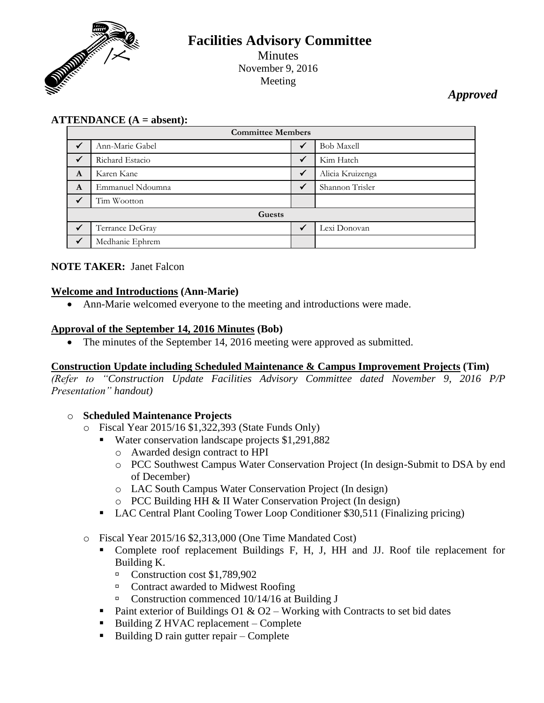

# **Facilities Advisory Committee** Minutes November 9, 2016 Meeting

# *Approved*

## **ATTENDANCE (A = absent):**

| <b>Committee Members</b> |                  |              |                   |
|--------------------------|------------------|--------------|-------------------|
| $\checkmark$             | Ann-Marie Gabel  |              | <b>Bob Maxell</b> |
| $\checkmark$             | Richard Estacio  | $\checkmark$ | Kim Hatch         |
| A                        | Karen Kane       | $\checkmark$ | Alicia Kruizenga  |
| A                        | Emmanuel Ndoumna | $\checkmark$ | Shannon Trisler   |
|                          | Tim Wootton      |              |                   |
| Guests                   |                  |              |                   |
|                          | Terrance DeGray  |              | Lexi Donovan      |
|                          | Medhanie Ephrem  |              |                   |

#### **NOTE TAKER:** Janet Falcon

#### **Welcome and Introductions (Ann-Marie)**

Ann-Marie welcomed everyone to the meeting and introductions were made.

#### **Approval of the September 14, 2016 Minutes (Bob)**

• The minutes of the September 14, 2016 meeting were approved as submitted.

#### **Construction Update including Scheduled Maintenance & Campus Improvement Projects (Tim)**

*(Refer to "Construction Update Facilities Advisory Committee dated November 9, 2016 P/P Presentation" handout)*

#### o **Scheduled Maintenance Projects**

- o Fiscal Year 2015/16 \$1,322,393 (State Funds Only)
	- Water conservation landscape projects \$1,291,882
		- o Awarded design contract to HPI
		- o PCC Southwest Campus Water Conservation Project (In design-Submit to DSA by end of December)
		- o LAC South Campus Water Conservation Project (In design)
		- o PCC Building HH & II Water Conservation Project (In design)
	- LAC Central Plant Cooling Tower Loop Conditioner \$30,511 (Finalizing pricing)
- o Fiscal Year 2015/16 \$2,313,000 (One Time Mandated Cost)
	- Complete roof replacement Buildings F, H, J, HH and JJ. Roof tile replacement for Building K.
		- Construction cost \$1,789,902
		- □ Contract awarded to Midwest Roofing
		- $\Box$  Construction commenced 10/14/16 at Building J
	- Paint exterior of Buildings O1 & O2 Working with Contracts to set bid dates
	- Building  $Z$  HVAC replacement Complete
	- Building D rain gutter repair Complete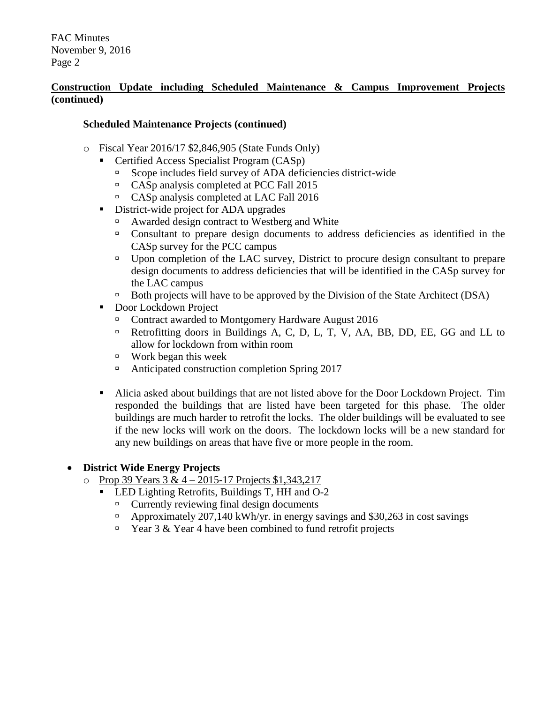### **Construction Update including Scheduled Maintenance & Campus Improvement Projects (continued)**

### **Scheduled Maintenance Projects (continued)**

- o Fiscal Year 2016/17 \$2,846,905 (State Funds Only)
	- Certified Access Specialist Program (CASp)
		- Scope includes field survey of ADA deficiencies district-wide
		- <sup>n</sup> CASp analysis completed at PCC Fall 2015
		- CASp analysis completed at LAC Fall 2016
	- District-wide project for ADA upgrades
		- Awarded design contract to Westberg and White
		- Consultant to prepare design documents to address deficiencies as identified in the CASp survey for the PCC campus
		- □ Upon completion of the LAC survey, District to procure design consultant to prepare design documents to address deficiencies that will be identified in the CASp survey for the LAC campus
		- Both projects will have to be approved by the Division of the State Architect (DSA)
	- Door Lockdown Project
		- Contract awarded to Montgomery Hardware August 2016
		- <sup> $\Box$ </sup> Retrofitting doors in Buildings A, C, D, L, T, V, AA, BB, DD, EE, GG and LL to allow for lockdown from within room
		- Work began this week
		- Anticipated construction completion Spring  $2017$
	- Alicia asked about buildings that are not listed above for the Door Lockdown Project. Tim responded the buildings that are listed have been targeted for this phase. The older buildings are much harder to retrofit the locks. The older buildings will be evaluated to see if the new locks will work on the doors. The lockdown locks will be a new standard for any new buildings on areas that have five or more people in the room.

# **District Wide Energy Projects**

- $\circ$  Prop 39 Years 3 & 4 2015-17 Projects \$1,343,217
	- LED Lighting Retrofits, Buildings T, HH and O-2
		- $\Box$  Currently reviewing final design documents
		- Approximately 207,140 kWh/yr. in energy savings and \$30,263 in cost savings
		- **Example 3** & Year 4 have been combined to fund retrofit projects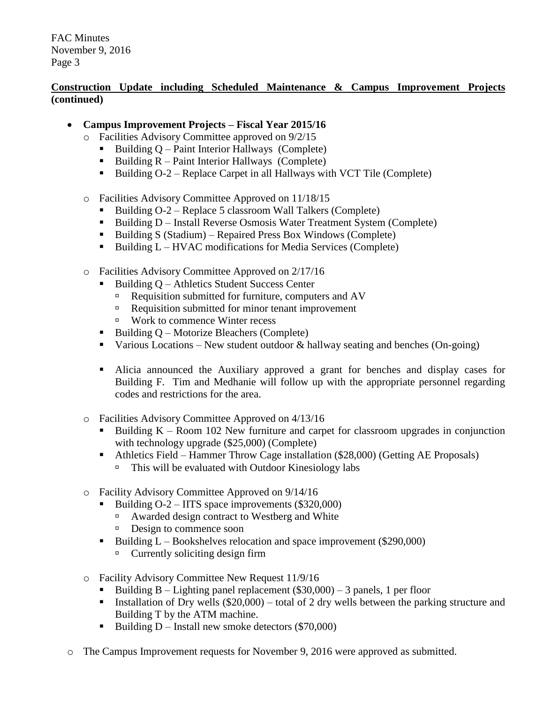## **Construction Update including Scheduled Maintenance & Campus Improvement Projects (continued)**

- **Campus Improvement Projects – Fiscal Year 2015/16**
	- o Facilities Advisory Committee approved on 9/2/15
		- $\blacksquare$  Building Q Paint Interior Hallways (Complete)
		- Building  $R$  Paint Interior Hallways (Complete)
		- Building  $O-2$  Replace Carpet in all Hallways with VCT Tile (Complete)
	- o Facilities Advisory Committee Approved on 11/18/15
		- Building  $O-2$  Replace 5 classroom Wall Talkers (Complete)
		- Building D Install Reverse Osmosis Water Treatment System (Complete)
		- Building S (Stadium) Repaired Press Box Windows (Complete)
		- Building  $L HVAC$  modifications for Media Services (Complete)
	- o Facilities Advisory Committee Approved on 2/17/16
		- Building Q Athletics Student Success Center
			- Requisition submitted for furniture, computers and AV
			- $\Box$  Requisition submitted for minor tenant improvement
			- Work to commence Winter recess
		- Building  $Q$  Motorize Bleachers (Complete)
		- Various Locations New student outdoor  $\&$  hallway seating and benches (On-going)
		- Alicia announced the Auxiliary approved a grant for benches and display cases for Building F. Tim and Medhanie will follow up with the appropriate personnel regarding codes and restrictions for the area.
	- o Facilities Advisory Committee Approved on 4/13/16
		- Building  $K -$  Room 102 New furniture and carpet for classroom upgrades in conjunction with technology upgrade (\$25,000) (Complete)
		- Athletics Field Hammer Throw Cage installation (\$28,000) (Getting AE Proposals)  $\Box$  This will be evaluated with Outdoor Kinesiology labs
	- o Facility Advisory Committee Approved on 9/14/16
		- Building O-2 IITS space improvements (\$320,000)
			- Awarded design contract to Westberg and White
			- Design to commence soon
		- Building  $L \text{Books}$  between  $\text{Boolean and space improvement } (\$290,000)$  $\Box$  Currently soliciting design firm
	- o Facility Advisory Committee New Request 11/9/16
		- Building B Lighting panel replacement  $(\$30,000) 3$  panels, 1 per floor
		- Installation of Dry wells  $(\$20,000)$  total of 2 dry wells between the parking structure and Building T by the ATM machine.
		- Building  $D$  Install new smoke detectors (\$70,000)
- o The Campus Improvement requests for November 9, 2016 were approved as submitted.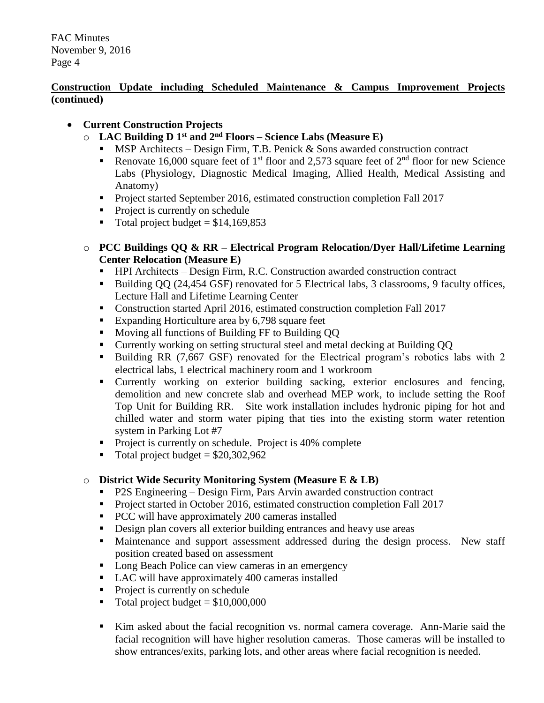## **Construction Update including Scheduled Maintenance & Campus Improvement Projects (continued)**

# **Current Construction Projects**

- o **LAC Building D 1 st and 2nd Floors – Science Labs (Measure E)**
	- MSP Architects Design Firm, T.B. Penick & Sons awarded construction contract
	- Renovate 16,000 square feet of 1<sup>st</sup> floor and 2,573 square feet of  $2<sup>nd</sup>$  floor for new Science Labs (Physiology, Diagnostic Medical Imaging, Allied Health, Medical Assisting and Anatomy)
	- Project started September 2016, estimated construction completion Fall 2017
	- Project is currently on schedule
	- $\blacksquare$  Total project budget = \$14,169,853
- o **PCC Buildings QQ & RR – Electrical Program Relocation/Dyer Hall/Lifetime Learning Center Relocation (Measure E)**
	- HPI Architects Design Firm, R.C. Construction awarded construction contract
	- Building QQ (24,454 GSF) renovated for 5 Electrical labs, 3 classrooms, 9 faculty offices, Lecture Hall and Lifetime Learning Center
	- Construction started April 2016, estimated construction completion Fall 2017
	- Expanding Horticulture area by 6,798 square feet
	- **Moving all functions of Building FF to Building QQ**
	- Currently working on setting structural steel and metal decking at Building QQ
	- Building RR (7,667 GSF) renovated for the Electrical program's robotics labs with 2 electrical labs, 1 electrical machinery room and 1 workroom
	- Currently working on exterior building sacking, exterior enclosures and fencing, demolition and new concrete slab and overhead MEP work, to include setting the Roof Top Unit for Building RR. Site work installation includes hydronic piping for hot and chilled water and storm water piping that ties into the existing storm water retention system in Parking Lot #7
	- Project is currently on schedule. Project is 40% complete
	- Total project budget  $= $20,302,962$

# o **District Wide Security Monitoring System (Measure E & LB)**

- P2S Engineering Design Firm, Pars Arvin awarded construction contract
- Project started in October 2016, estimated construction completion Fall 2017
- **PCC** will have approximately 200 cameras installed
- Design plan covers all exterior building entrances and heavy use areas
- **Maintenance and support assessment addressed during the design process.** New staff position created based on assessment
- Long Beach Police can view cameras in an emergency
- LAC will have approximately 400 cameras installed
- Project is currently on schedule
- Total project budget  $= $10,000,000$
- Kim asked about the facial recognition vs. normal camera coverage. Ann-Marie said the facial recognition will have higher resolution cameras. Those cameras will be installed to show entrances/exits, parking lots, and other areas where facial recognition is needed.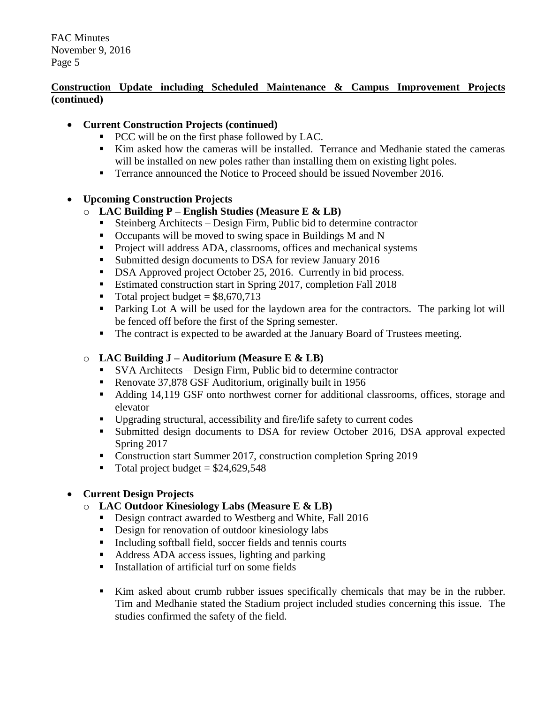## **Construction Update including Scheduled Maintenance & Campus Improvement Projects (continued)**

## **Current Construction Projects (continued)**

- **PCC** will be on the first phase followed by LAC.
- Kim asked how the cameras will be installed. Terrance and Medhanie stated the cameras will be installed on new poles rather than installing them on existing light poles.
- **Terrance announced the Notice to Proceed should be issued November 2016.**

#### **Upcoming Construction Projects**

## o **LAC Building P – English Studies (Measure E & LB)**

- Steinberg Architects Design Firm, Public bid to determine contractor
- Occupants will be moved to swing space in Buildings M and N
- **Project will address ADA, classrooms, offices and mechanical systems**
- **Submitted design documents to DSA for review January 2016**
- DSA Approved project October 25, 2016. Currently in bid process.
- Estimated construction start in Spring 2017, completion Fall 2018
- $\blacksquare$  Total project budget = \$8,670,713
- Parking Lot A will be used for the laydown area for the contractors. The parking lot will be fenced off before the first of the Spring semester.
- The contract is expected to be awarded at the January Board of Trustees meeting.

# o **LAC Building J – Auditorium (Measure E & LB)**

- SVA Architects Design Firm, Public bid to determine contractor
- Renovate 37,878 GSF Auditorium, originally built in 1956
- Adding 14,119 GSF onto northwest corner for additional classrooms, offices, storage and elevator
- Upgrading structural, accessibility and fire/life safety to current codes
- **Submitted design documents to DSA for review October 2016, DSA approval expected** Spring 2017
- Construction start Summer 2017, construction completion Spring 2019
- Total project budget =  $$24,629,548$

# **Current Design Projects**

# o **LAC Outdoor Kinesiology Labs (Measure E & LB)**

- Design contract awarded to Westberg and White, Fall 2016
- Design for renovation of outdoor kinesiology labs
- Including softball field, soccer fields and tennis courts
- Address ADA access issues, lighting and parking
- **Installation of artificial turf on some fields**
- Kim asked about crumb rubber issues specifically chemicals that may be in the rubber. Tim and Medhanie stated the Stadium project included studies concerning this issue. The studies confirmed the safety of the field.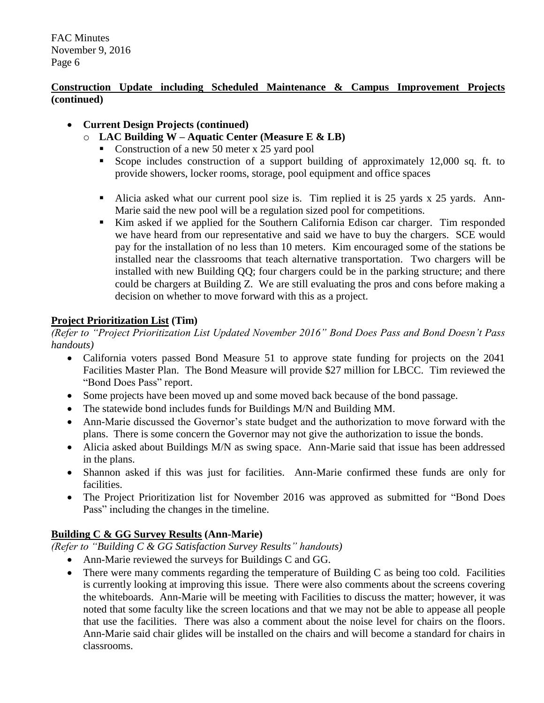## **Construction Update including Scheduled Maintenance & Campus Improvement Projects (continued)**

## **Current Design Projects (continued)**

- o **LAC Building W – Aquatic Center (Measure E & LB)**
	- Construction of a new 50 meter x 25 yard pool
	- Scope includes construction of a support building of approximately 12,000 sq. ft. to provide showers, locker rooms, storage, pool equipment and office spaces
	- Alicia asked what our current pool size is. Tim replied it is 25 yards x 25 yards. Ann-Marie said the new pool will be a regulation sized pool for competitions.
	- Kim asked if we applied for the Southern California Edison car charger. Tim responded we have heard from our representative and said we have to buy the chargers. SCE would pay for the installation of no less than 10 meters. Kim encouraged some of the stations be installed near the classrooms that teach alternative transportation. Two chargers will be installed with new Building QQ; four chargers could be in the parking structure; and there could be chargers at Building Z. We are still evaluating the pros and cons before making a decision on whether to move forward with this as a project.

#### **Project Prioritization List (Tim)**

*(Refer to "Project Prioritization List Updated November 2016" Bond Does Pass and Bond Doesn't Pass handouts)*

- California voters passed Bond Measure 51 to approve state funding for projects on the 2041 Facilities Master Plan. The Bond Measure will provide \$27 million for LBCC. Tim reviewed the "Bond Does Pass" report.
- Some projects have been moved up and some moved back because of the bond passage.
- The statewide bond includes funds for Buildings M/N and Building MM.
- Ann-Marie discussed the Governor's state budget and the authorization to move forward with the plans. There is some concern the Governor may not give the authorization to issue the bonds.
- Alicia asked about Buildings M/N as swing space. Ann-Marie said that issue has been addressed in the plans.
- Shannon asked if this was just for facilities. Ann-Marie confirmed these funds are only for facilities.
- The Project Prioritization list for November 2016 was approved as submitted for "Bond Does Pass" including the changes in the timeline.

# **Building C & GG Survey Results (Ann-Marie)**

*(Refer to "Building C & GG Satisfaction Survey Results" handouts)*

- Ann-Marie reviewed the surveys for Buildings C and GG.
- There were many comments regarding the temperature of Building C as being too cold. Facilities is currently looking at improving this issue. There were also comments about the screens covering the whiteboards. Ann-Marie will be meeting with Facilities to discuss the matter; however, it was noted that some faculty like the screen locations and that we may not be able to appease all people that use the facilities. There was also a comment about the noise level for chairs on the floors. Ann-Marie said chair glides will be installed on the chairs and will become a standard for chairs in classrooms.